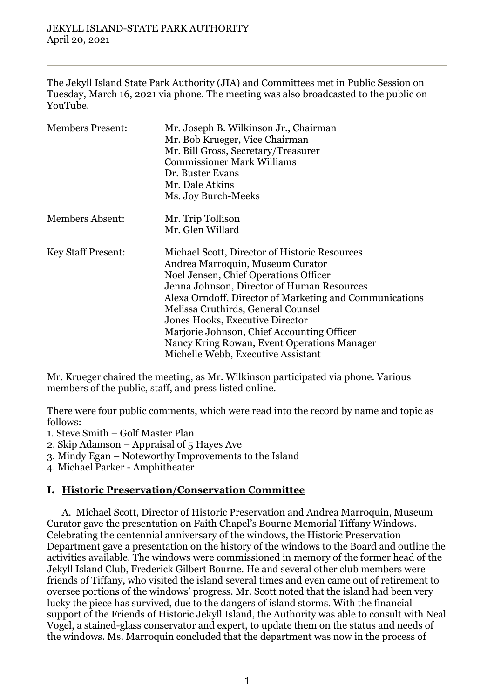The Jekyll Island State Park Authority (JIA) and Committees met in Public Session on Tuesday, March 16, 2021 via phone. The meeting was also broadcasted to the public on YouTube.

| <b>Members Present:</b>   | Mr. Joseph B. Wilkinson Jr., Chairman                   |
|---------------------------|---------------------------------------------------------|
|                           | Mr. Bob Krueger, Vice Chairman                          |
|                           | Mr. Bill Gross, Secretary/Treasurer                     |
|                           | <b>Commissioner Mark Williams</b>                       |
|                           | Dr. Buster Evans                                        |
|                           | Mr. Dale Atkins                                         |
|                           | Ms. Joy Burch-Meeks                                     |
| <b>Members Absent:</b>    | Mr. Trip Tollison                                       |
|                           | Mr. Glen Willard                                        |
| <b>Key Staff Present:</b> | Michael Scott, Director of Historic Resources           |
|                           | Andrea Marroquin, Museum Curator                        |
|                           | Noel Jensen, Chief Operations Officer                   |
|                           | Jenna Johnson, Director of Human Resources              |
|                           | Alexa Orndoff, Director of Marketing and Communications |
|                           | Melissa Cruthirds, General Counsel                      |
|                           | <b>Jones Hooks, Executive Director</b>                  |
|                           | Marjorie Johnson, Chief Accounting Officer              |
|                           | Nancy Kring Rowan, Event Operations Manager             |
|                           | Michelle Webb, Executive Assistant                      |

Mr. Krueger chaired the meeting, as Mr. Wilkinson participated via phone. Various members of the public, staff, and press listed online.

There were four public comments, which were read into the record by name and topic as follows:

1. Steve Smith – Golf Master Plan

2. Skip Adamson – Appraisal of 5 Hayes Ave

3. Mindy Egan – Noteworthy Improvements to the Island

4. Michael Parker - Amphitheater

#### **I. Historic Preservation/Conservation Committee**

A. Michael Scott, Director of Historic Preservation and Andrea Marroquin, Museum Curator gave the presentation on Faith Chapel's Bourne Memorial Tiffany Windows. Celebrating the centennial anniversary of the windows, the Historic Preservation Department gave a presentation on the history of the windows to the Board and outline the activities available. The windows were commissioned in memory of the former head of the Jekyll Island Club, Frederick Gilbert Bourne. He and several other club members were friends of Tiffany, who visited the island several times and even came out of retirement to oversee portions of the windows' progress. Mr. Scott noted that the island had been very lucky the piece has survived, due to the dangers of island storms. With the financial support of the Friends of Historic Jekyll Island, the Authority was able to consult with Neal Vogel, a stained-glass conservator and expert, to update them on the status and needs of the windows. Ms. Marroquin concluded that the department was now in the process of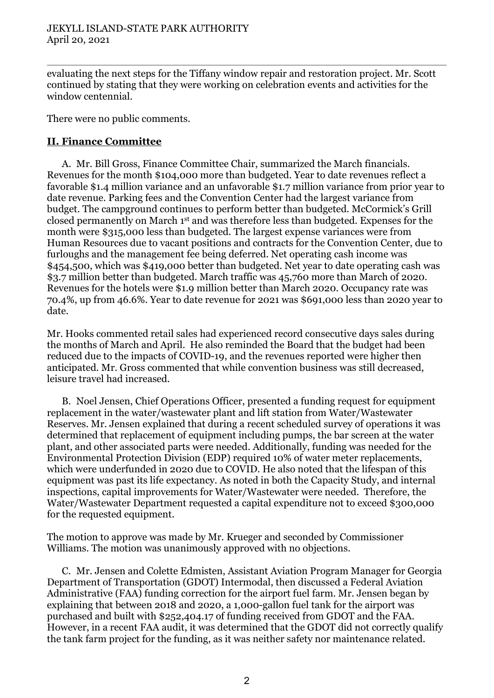evaluating the next steps for the Tiffany window repair and restoration project. Mr. Scott continued by stating that they were working on celebration events and activities for the window centennial.

There were no public comments.

## **II. Finance Committee**

A. Mr. Bill Gross, Finance Committee Chair, summarized the March financials. Revenues for the month \$104,000 more than budgeted. Year to date revenues reflect a favorable \$1.4 million variance and an unfavorable \$1.7 million variance from prior year to date revenue. Parking fees and the Convention Center had the largest variance from budget. The campground continues to perform better than budgeted. McCormick's Grill closed permanently on March 1st and was therefore less than budgeted. Expenses for the month were \$315,000 less than budgeted. The largest expense variances were from Human Resources due to vacant positions and contracts for the Convention Center, due to furloughs and the management fee being deferred. Net operating cash income was \$454,500, which was \$419,000 better than budgeted. Net year to date operating cash was \$3.7 million better than budgeted. March traffic was 45,760 more than March of 2020. Revenues for the hotels were \$1.9 million better than March 2020. Occupancy rate was 70.4%, up from 46.6%. Year to date revenue for 2021 was \$691,000 less than 2020 year to date.

Mr. Hooks commented retail sales had experienced record consecutive days sales during the months of March and April. He also reminded the Board that the budget had been reduced due to the impacts of COVID-19, and the revenues reported were higher then anticipated. Mr. Gross commented that while convention business was still decreased, leisure travel had increased.

B. Noel Jensen, Chief Operations Officer, presented a funding request for equipment replacement in the water/wastewater plant and lift station from Water/Wastewater Reserves. Mr. Jensen explained that during a recent scheduled survey of operations it was determined that replacement of equipment including pumps, the bar screen at the water plant, and other associated parts were needed. Additionally, funding was needed for the Environmental Protection Division (EDP) required 10% of water meter replacements, which were underfunded in 2020 due to COVID. He also noted that the lifespan of this equipment was past its life expectancy. As noted in both the Capacity Study, and internal inspections, capital improvements for Water/Wastewater were needed. Therefore, the Water/Wastewater Department requested a capital expenditure not to exceed \$300,000 for the requested equipment.

The motion to approve was made by Mr. Krueger and seconded by Commissioner Williams. The motion was unanimously approved with no objections.

C. Mr. Jensen and Colette Edmisten, Assistant Aviation Program Manager for Georgia Department of Transportation (GDOT) Intermodal, then discussed a Federal Aviation Administrative (FAA) funding correction for the airport fuel farm. Mr. Jensen began by explaining that between 2018 and 2020, a 1,000-gallon fuel tank for the airport was purchased and built with \$252,404.17 of funding received from GDOT and the FAA. However, in a recent FAA audit, it was determined that the GDOT did not correctly qualify the tank farm project for the funding, as it was neither safety nor maintenance related.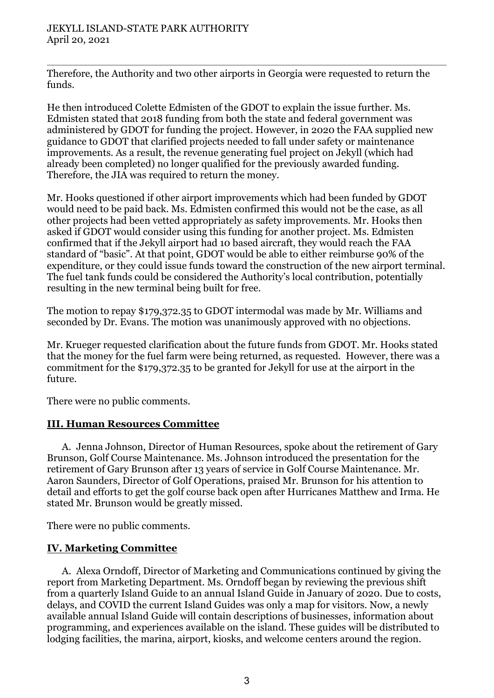Therefore, the Authority and two other airports in Georgia were requested to return the funds.

He then introduced Colette Edmisten of the GDOT to explain the issue further. Ms. Edmisten stated that 2018 funding from both the state and federal government was administered by GDOT for funding the project. However, in 2020 the FAA supplied new guidance to GDOT that clarified projects needed to fall under safety or maintenance improvements. As a result, the revenue generating fuel project on Jekyll (which had already been completed) no longer qualified for the previously awarded funding. Therefore, the JIA was required to return the money.

Mr. Hooks questioned if other airport improvements which had been funded by GDOT would need to be paid back. Ms. Edmisten confirmed this would not be the case, as all other projects had been vetted appropriately as safety improvements. Mr. Hooks then asked if GDOT would consider using this funding for another project. Ms. Edmisten confirmed that if the Jekyll airport had 10 based aircraft, they would reach the FAA standard of "basic". At that point, GDOT would be able to either reimburse 90% of the expenditure, or they could issue funds toward the construction of the new airport terminal. The fuel tank funds could be considered the Authority's local contribution, potentially resulting in the new terminal being built for free.

The motion to repay \$179,372.35 to GDOT intermodal was made by Mr. Williams and seconded by Dr. Evans. The motion was unanimously approved with no objections.

Mr. Krueger requested clarification about the future funds from GDOT. Mr. Hooks stated that the money for the fuel farm were being returned, as requested. However, there was a commitment for the \$179,372.35 to be granted for Jekyll for use at the airport in the future.

There were no public comments.

## **III. Human Resources Committee**

A. Jenna Johnson, Director of Human Resources, spoke about the retirement of Gary Brunson, Golf Course Maintenance. Ms. Johnson introduced the presentation for the retirement of Gary Brunson after 13 years of service in Golf Course Maintenance. Mr. Aaron Saunders, Director of Golf Operations, praised Mr. Brunson for his attention to detail and efforts to get the golf course back open after Hurricanes Matthew and Irma. He stated Mr. Brunson would be greatly missed.

There were no public comments.

## **IV. Marketing Committee**

A. Alexa Orndoff, Director of Marketing and Communications continued by giving the report from Marketing Department. Ms. Orndoff began by reviewing the previous shift from a quarterly Island Guide to an annual Island Guide in January of 2020. Due to costs, delays, and COVID the current Island Guides was only a map for visitors. Now, a newly available annual Island Guide will contain descriptions of businesses, information about programming, and experiences available on the island. These guides will be distributed to lodging facilities, the marina, airport, kiosks, and welcome centers around the region.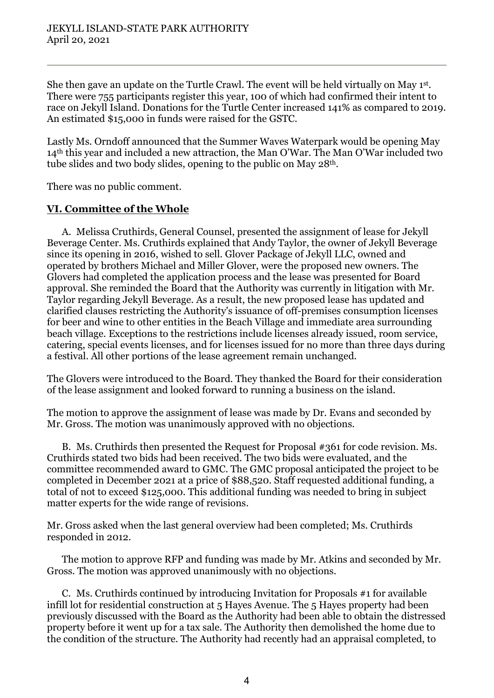She then gave an update on the Turtle Crawl. The event will be held virtually on May 1st. There were 755 participants register this year, 100 of which had confirmed their intent to race on Jekyll Island. Donations for the Turtle Center increased 141% as compared to 2019. An estimated \$15,000 in funds were raised for the GSTC.

Lastly Ms. Orndoff announced that the Summer Waves Waterpark would be opening May 14th this year and included a new attraction, the Man O'War. The Man O'War included two tube slides and two body slides, opening to the public on May 28th.

There was no public comment.

# **VI. Committee of the Whole**

A. Melissa Cruthirds, General Counsel, presented the assignment of lease for Jekyll Beverage Center. Ms. Cruthirds explained that Andy Taylor, the owner of Jekyll Beverage since its opening in 2016, wished to sell. Glover Package of Jekyll LLC, owned and operated by brothers Michael and Miller Glover, were the proposed new owners. The Glovers had completed the application process and the lease was presented for Board approval. She reminded the Board that the Authority was currently in litigation with Mr. Taylor regarding Jekyll Beverage. As a result, the new proposed lease has updated and clarified clauses restricting the Authority's issuance of off-premises consumption licenses for beer and wine to other entities in the Beach Village and immediate area surrounding beach village. Exceptions to the restrictions include licenses already issued, room service, catering, special events licenses, and for licenses issued for no more than three days during a festival. All other portions of the lease agreement remain unchanged.

The Glovers were introduced to the Board. They thanked the Board for their consideration of the lease assignment and looked forward to running a business on the island.

The motion to approve the assignment of lease was made by Dr. Evans and seconded by Mr. Gross. The motion was unanimously approved with no objections.

B. Ms. Cruthirds then presented the Request for Proposal #361 for code revision. Ms. Cruthirds stated two bids had been received. The two bids were evaluated, and the committee recommended award to GMC. The GMC proposal anticipated the project to be completed in December 2021 at a price of \$88,520. Staff requested additional funding, a total of not to exceed \$125,000. This additional funding was needed to bring in subject matter experts for the wide range of revisions.

Mr. Gross asked when the last general overview had been completed; Ms. Cruthirds responded in 2012.

The motion to approve RFP and funding was made by Mr. Atkins and seconded by Mr. Gross. The motion was approved unanimously with no objections.

C. Ms. Cruthirds continued by introducing Invitation for Proposals #1 for available infill lot for residential construction at 5 Hayes Avenue. The 5 Hayes property had been previously discussed with the Board as the Authority had been able to obtain the distressed property before it went up for a tax sale. The Authority then demolished the home due to the condition of the structure. The Authority had recently had an appraisal completed, to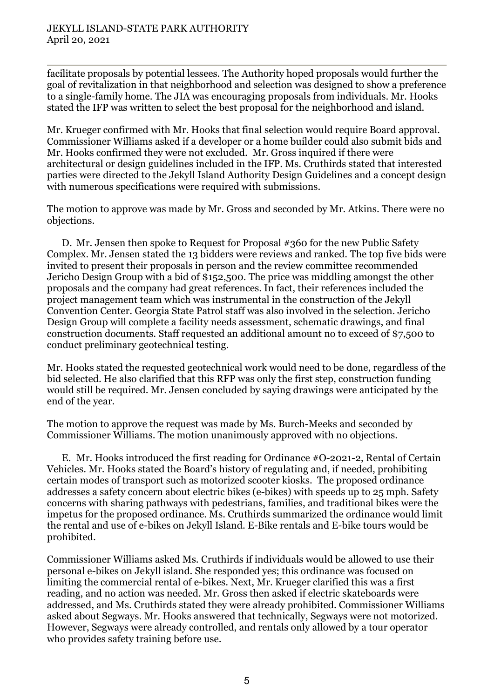facilitate proposals by potential lessees. The Authority hoped proposals would further the goal of revitalization in that neighborhood and selection was designed to show a preference to a single-family home. The JIA was encouraging proposals from individuals. Mr. Hooks stated the IFP was written to select the best proposal for the neighborhood and island.

Mr. Krueger confirmed with Mr. Hooks that final selection would require Board approval. Commissioner Williams asked if a developer or a home builder could also submit bids and Mr. Hooks confirmed they were not excluded. Mr. Gross inquired if there were architectural or design guidelines included in the IFP. Ms. Cruthirds stated that interested parties were directed to the Jekyll Island Authority Design Guidelines and a concept design with numerous specifications were required with submissions.

The motion to approve was made by Mr. Gross and seconded by Mr. Atkins. There were no objections.

D. Mr. Jensen then spoke to Request for Proposal #360 for the new Public Safety Complex. Mr. Jensen stated the 13 bidders were reviews and ranked. The top five bids were invited to present their proposals in person and the review committee recommended Jericho Design Group with a bid of \$152,500. The price was middling amongst the other proposals and the company had great references. In fact, their references included the project management team which was instrumental in the construction of the Jekyll Convention Center. Georgia State Patrol staff was also involved in the selection. Jericho Design Group will complete a facility needs assessment, schematic drawings, and final construction documents. Staff requested an additional amount no to exceed of \$7,500 to conduct preliminary geotechnical testing.

Mr. Hooks stated the requested geotechnical work would need to be done, regardless of the bid selected. He also clarified that this RFP was only the first step, construction funding would still be required. Mr. Jensen concluded by saying drawings were anticipated by the end of the year.

The motion to approve the request was made by Ms. Burch-Meeks and seconded by Commissioner Williams. The motion unanimously approved with no objections.

E. Mr. Hooks introduced the first reading for Ordinance #O-2021-2, Rental of Certain Vehicles. Mr. Hooks stated the Board's history of regulating and, if needed, prohibiting certain modes of transport such as motorized scooter kiosks. The proposed ordinance addresses a safety concern about electric bikes (e-bikes) with speeds up to 25 mph. Safety concerns with sharing pathways with pedestrians, families, and traditional bikes were the impetus for the proposed ordinance. Ms. Cruthirds summarized the ordinance would limit the rental and use of e-bikes on Jekyll Island. E-Bike rentals and E-bike tours would be prohibited.

Commissioner Williams asked Ms. Cruthirds if individuals would be allowed to use their personal e-bikes on Jekyll island. She responded yes; this ordinance was focused on limiting the commercial rental of e-bikes. Next, Mr. Krueger clarified this was a first reading, and no action was needed. Mr. Gross then asked if electric skateboards were addressed, and Ms. Cruthirds stated they were already prohibited. Commissioner Williams asked about Segways. Mr. Hooks answered that technically, Segways were not motorized. However, Segways were already controlled, and rentals only allowed by a tour operator who provides safety training before use.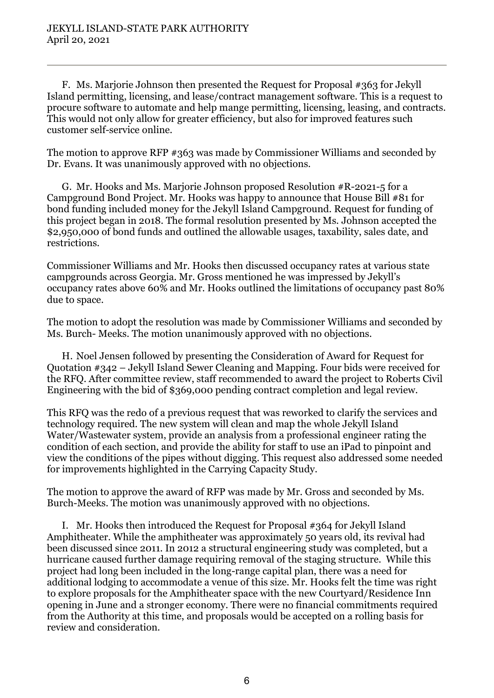F. Ms. Marjorie Johnson then presented the Request for Proposal #363 for Jekyll Island permitting, licensing, and lease/contract management software. This is a request to procure software to automate and help mange permitting, licensing, leasing, and contracts. This would not only allow for greater efficiency, but also for improved features such customer self-service online.

The motion to approve RFP #363 was made by Commissioner Williams and seconded by Dr. Evans. It was unanimously approved with no objections.

G. Mr. Hooks and Ms. Marjorie Johnson proposed Resolution #R-2021-5 for a Campground Bond Project. Mr. Hooks was happy to announce that House Bill #81 for bond funding included money for the Jekyll Island Campground. Request for funding of this project began in 2018. The formal resolution presented by Ms. Johnson accepted the \$2,950,000 of bond funds and outlined the allowable usages, taxability, sales date, and restrictions.

Commissioner Williams and Mr. Hooks then discussed occupancy rates at various state campgrounds across Georgia. Mr. Gross mentioned he was impressed by Jekyll's occupancy rates above 60% and Mr. Hooks outlined the limitations of occupancy past 80% due to space.

The motion to adopt the resolution was made by Commissioner Williams and seconded by Ms. Burch- Meeks. The motion unanimously approved with no objections.

H. Noel Jensen followed by presenting the Consideration of Award for Request for Quotation #342 – Jekyll Island Sewer Cleaning and Mapping. Four bids were received for the RFQ. After committee review, staff recommended to award the project to Roberts Civil Engineering with the bid of \$369,000 pending contract completion and legal review.

This RFQ was the redo of a previous request that was reworked to clarify the services and technology required. The new system will clean and map the whole Jekyll Island Water/Wastewater system, provide an analysis from a professional engineer rating the condition of each section, and provide the ability for staff to use an iPad to pinpoint and view the conditions of the pipes without digging. This request also addressed some needed for improvements highlighted in the Carrying Capacity Study.

The motion to approve the award of RFP was made by Mr. Gross and seconded by Ms. Burch-Meeks. The motion was unanimously approved with no objections.

I. Mr. Hooks then introduced the Request for Proposal #364 for Jekyll Island Amphitheater. While the amphitheater was approximately 50 years old, its revival had been discussed since 2011. In 2012 a structural engineering study was completed, but a hurricane caused further damage requiring removal of the staging structure. While this project had long been included in the long-range capital plan, there was a need for additional lodging to accommodate a venue of this size. Mr. Hooks felt the time was right to explore proposals for the Amphitheater space with the new Courtyard/Residence Inn opening in June and a stronger economy. There were no financial commitments required from the Authority at this time, and proposals would be accepted on a rolling basis for review and consideration.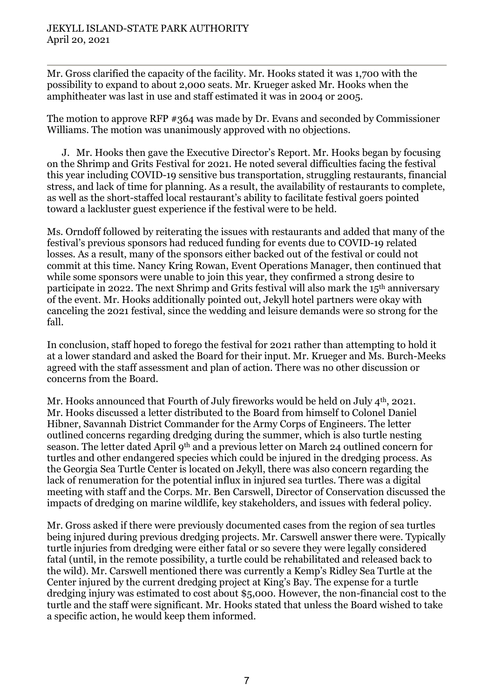Mr. Gross clarified the capacity of the facility. Mr. Hooks stated it was 1,700 with the possibility to expand to about 2,000 seats. Mr. Krueger asked Mr. Hooks when the amphitheater was last in use and staff estimated it was in 2004 or 2005.

The motion to approve RFP #364 was made by Dr. Evans and seconded by Commissioner Williams. The motion was unanimously approved with no objections.

J. Mr. Hooks then gave the Executive Director's Report. Mr. Hooks began by focusing on the Shrimp and Grits Festival for 2021. He noted several difficulties facing the festival this year including COVID-19 sensitive bus transportation, struggling restaurants, financial stress, and lack of time for planning. As a result, the availability of restaurants to complete, as well as the short-staffed local restaurant's ability to facilitate festival goers pointed toward a lackluster guest experience if the festival were to be held.

Ms. Orndoff followed by reiterating the issues with restaurants and added that many of the festival's previous sponsors had reduced funding for events due to COVID-19 related losses. As a result, many of the sponsors either backed out of the festival or could not commit at this time. Nancy Kring Rowan, Event Operations Manager, then continued that while some sponsors were unable to join this year, they confirmed a strong desire to participate in 2022. The next Shrimp and Grits festival will also mark the 15th anniversary of the event. Mr. Hooks additionally pointed out, Jekyll hotel partners were okay with canceling the 2021 festival, since the wedding and leisure demands were so strong for the fall.

In conclusion, staff hoped to forego the festival for 2021 rather than attempting to hold it at a lower standard and asked the Board for their input. Mr. Krueger and Ms. Burch-Meeks agreed with the staff assessment and plan of action. There was no other discussion or concerns from the Board.

Mr. Hooks announced that Fourth of July fireworks would be held on July 4<sup>th</sup>, 2021. Mr. Hooks discussed a letter distributed to the Board from himself to Colonel Daniel Hibner, Savannah District Commander for the Army Corps of Engineers. The letter outlined concerns regarding dredging during the summer, which is also turtle nesting season. The letter dated April 9<sup>th</sup> and a previous letter on March 24 outlined concern for turtles and other endangered species which could be injured in the dredging process. As the Georgia Sea Turtle Center is located on Jekyll, there was also concern regarding the lack of renumeration for the potential influx in injured sea turtles. There was a digital meeting with staff and the Corps. Mr. Ben Carswell, Director of Conservation discussed the impacts of dredging on marine wildlife, key stakeholders, and issues with federal policy.

Mr. Gross asked if there were previously documented cases from the region of sea turtles being injured during previous dredging projects. Mr. Carswell answer there were. Typically turtle injuries from dredging were either fatal or so severe they were legally considered fatal (until, in the remote possibility, a turtle could be rehabilitated and released back to the wild). Mr. Carswell mentioned there was currently a Kemp's Ridley Sea Turtle at the Center injured by the current dredging project at King's Bay. The expense for a turtle dredging injury was estimated to cost about \$5,000. However, the non-financial cost to the turtle and the staff were significant. Mr. Hooks stated that unless the Board wished to take a specific action, he would keep them informed.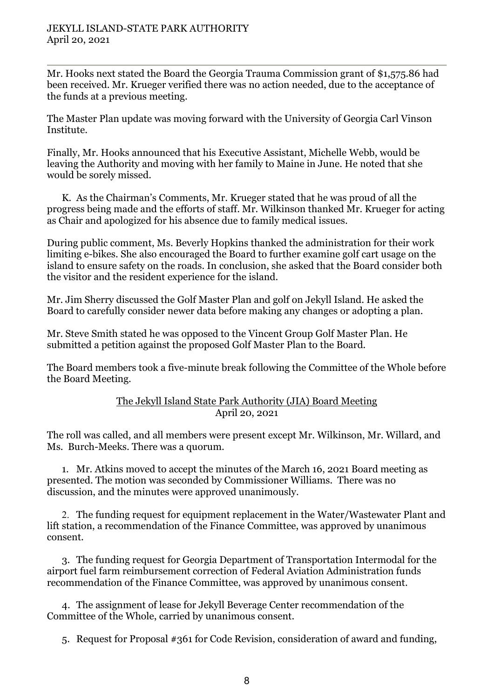Mr. Hooks next stated the Board the Georgia Trauma Commission grant of \$1,575.86 had been received. Mr. Krueger verified there was no action needed, due to the acceptance of the funds at a previous meeting.

The Master Plan update was moving forward with the University of Georgia Carl Vinson Institute.

Finally, Mr. Hooks announced that his Executive Assistant, Michelle Webb, would be leaving the Authority and moving with her family to Maine in June. He noted that she would be sorely missed.

K. As the Chairman's Comments, Mr. Krueger stated that he was proud of all the progress being made and the efforts of staff. Mr. Wilkinson thanked Mr. Krueger for acting as Chair and apologized for his absence due to family medical issues.

During public comment, Ms. Beverly Hopkins thanked the administration for their work limiting e-bikes. She also encouraged the Board to further examine golf cart usage on the island to ensure safety on the roads. In conclusion, she asked that the Board consider both the visitor and the resident experience for the island.

Mr. Jim Sherry discussed the Golf Master Plan and golf on Jekyll Island. He asked the Board to carefully consider newer data before making any changes or adopting a plan.

Mr. Steve Smith stated he was opposed to the Vincent Group Golf Master Plan. He submitted a petition against the proposed Golf Master Plan to the Board.

The Board members took a five-minute break following the Committee of the Whole before the Board Meeting.

#### The Jekyll Island State Park Authority (JIA) Board Meeting April 20, 2021

The roll was called, and all members were present except Mr. Wilkinson, Mr. Willard, and Ms. Burch-Meeks. There was a quorum.

1. Mr. Atkins moved to accept the minutes of the March 16, 2021 Board meeting as presented. The motion was seconded by Commissioner Williams. There was no discussion, and the minutes were approved unanimously.

2. The funding request for equipment replacement in the Water/Wastewater Plant and lift station, a recommendation of the Finance Committee, was approved by unanimous consent.

3. The funding request for Georgia Department of Transportation Intermodal for the airport fuel farm reimbursement correction of Federal Aviation Administration funds recommendation of the Finance Committee, was approved by unanimous consent.

4. The assignment of lease for Jekyll Beverage Center recommendation of the Committee of the Whole, carried by unanimous consent.

5. Request for Proposal #361 for Code Revision, consideration of award and funding,